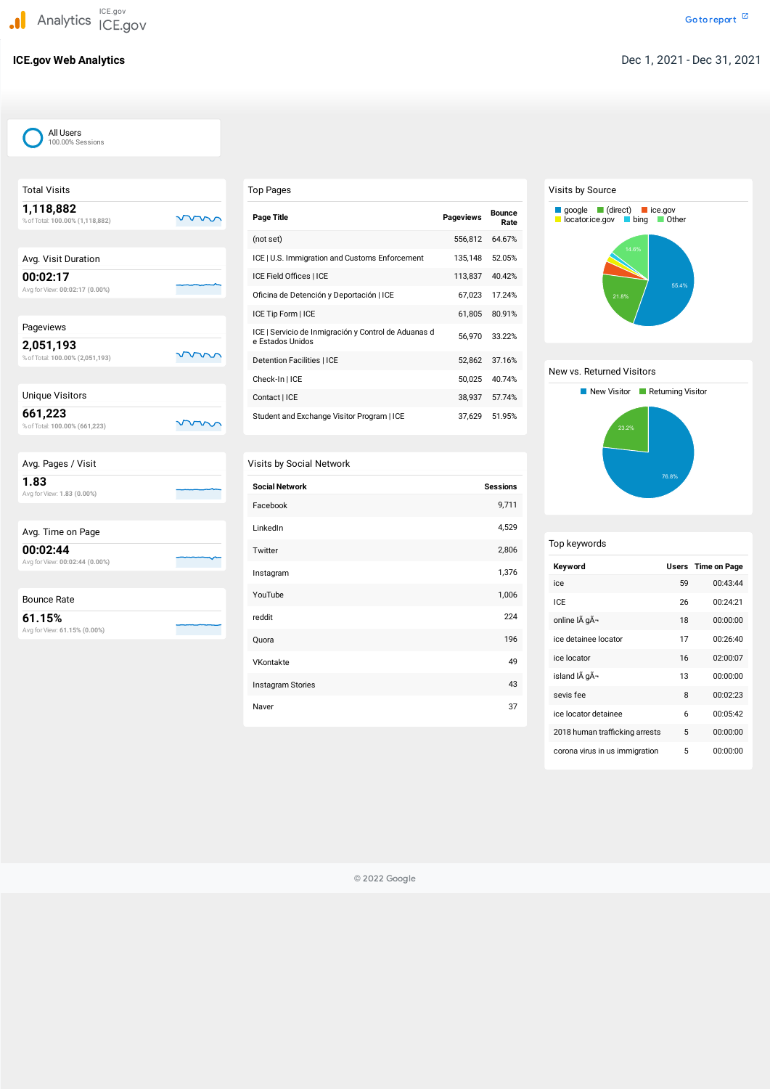| <b>Total Visits</b>                          |  |
|----------------------------------------------|--|
| 1,118,882<br>% of Total: 100.00% (1,118,882) |  |
| Avg. Visit Duration                          |  |
| 00:02:17<br>Avg for View: 00:02:17 (0.00%)   |  |
|                                              |  |
| Pageviews                                    |  |
| 2,051,193<br>% of Total: 100.00% (2,051,193) |  |
| <b>Unique Visitors</b>                       |  |
| 661,223<br>% of Total: 100.00% (661,223)     |  |
|                                              |  |
| Avg. Pages / Visit                           |  |
| 1.83<br>Avg for View: 1.83 (0.00%)           |  |
|                                              |  |
| Avg. Time on Page                            |  |
| 00:02:44<br>Avg for View: 00:02:44 (0.00%)   |  |
|                                              |  |
| <b>Bounce Rate</b>                           |  |
| 61.15%<br>Avg for View: 61.15% (0.00%)       |  |

# Top Pages

| Page Title                                                               | <b>Pageviews</b> | <b>Bounce</b><br>Rate |
|--------------------------------------------------------------------------|------------------|-----------------------|
| (not set)                                                                | 556,812          | 64.67%                |
| ICE   U.S. Immigration and Customs Enforcement                           | 135,148          | 52.05%                |
| ICE Field Offices   ICE                                                  | 113,837          | 40.42%                |
| Oficina de Detención y Deportación   ICE                                 | 67,023           | 17.24%                |
| ICE Tip Form   ICE                                                       | 61,805           | 80.91%                |
| ICE   Servicio de Inmigración y Control de Aduanas d<br>e Estados Unidos | 56,970           | 33.22%                |
| Detention Facilities   ICE                                               | 52,862           | 37.16%                |
| Check-In   ICE                                                           | 50,025           | 40.74%                |
| Contact   ICE                                                            | 38,937           | 57.74%                |
| Student and Exchange Visitor Program   ICE                               | 37,629           | 51.95%                |

# Visits by Social Network

| <b>Social Network</b> | <b>Sessions</b> |
|-----------------------|-----------------|
| Facebook              | 9,711           |
| LinkedIn              | 4,529           |
| Twitter               | 2,806           |
| Instagram             | 1,376           |
| YouTube               | 1,006           |
| reddit                | 224             |
| Quora                 | 196             |
| VKontakte             | 49              |
| Instagram Stories     | 43              |
| Naver                 | 37              |

# Visits by Source

# New vs. Returned Visitors

| Top keywords                   |    |                           |
|--------------------------------|----|---------------------------|
| Keyword                        |    | <b>Users</b> Time on Page |
| ice                            | 59 | 00:43:44                  |
| ICE                            | 26 | 00:24:21                  |
| online IÃ gÃ-                  | 18 | 00:00:00                  |
| ice detainee locator           | 17 | 00:26:40                  |
| ice locator                    | 16 | 02:00:07                  |
| island IÃ gÃ-                  | 13 | 00:00:00                  |
| sevis fee                      | 8  | 00:02:23                  |
| ice locator detainee           | 6  | 00:05:42                  |
| 2018 human trafficking arrests | 5  | 00:00:00                  |





© 2022 Google

## All Users 100.00% Sessions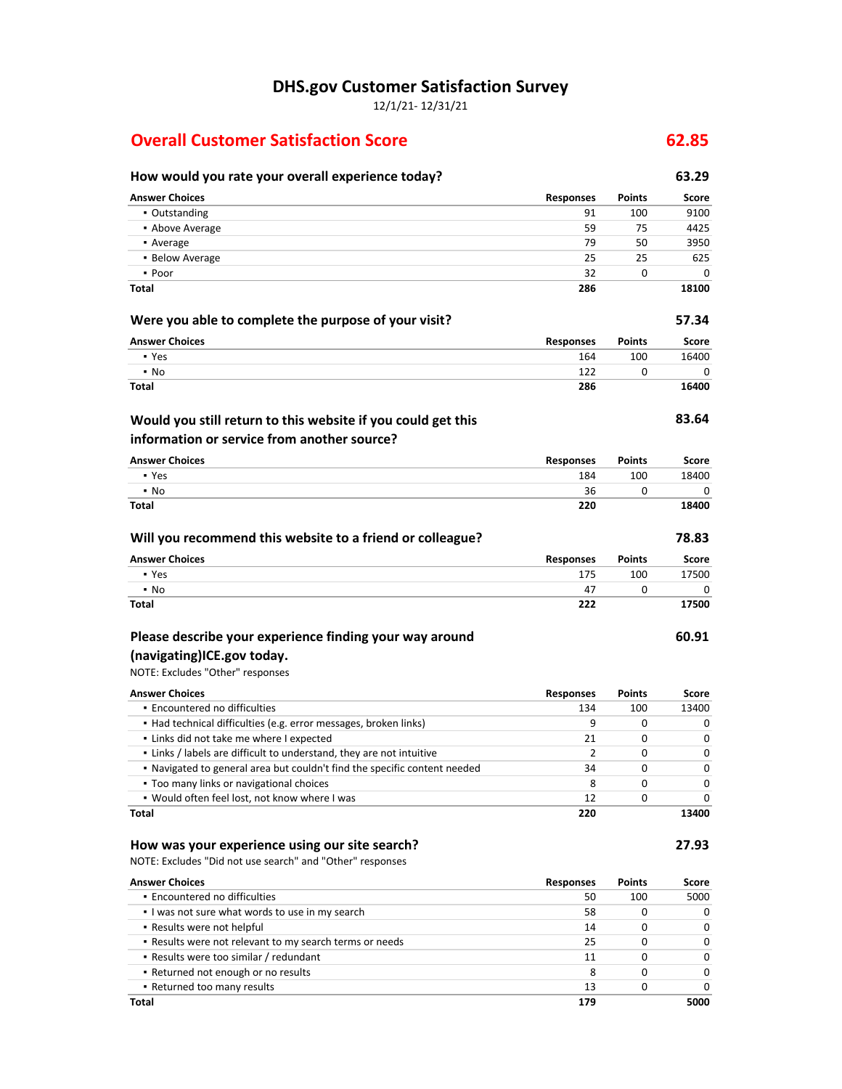**DHS.gov Customer Satisfaction Survey**

12/1/21- 12/31/21

## **Overall Customer Satisfaction Score 62.85**

### **How would you rate your overall experience today? 63.29 Answer Choices Responses Points Score** ▪ Outstanding 91 100 9100 **• Above Average 59 75 4425** ▪ Average 79 50 3950 ▪ Below Average 25 25 625  $\bullet$  Poor 32 0 0 0 **Total 286 18100 Were you able to complete the purpose of your visit? 57.34 Answer Choices Responses Points Score** ▪ Yes 164 100 16400 ▪ No 122 0 0 **Total 286 16400 83.64 Answer Choices Responses Points Score** ▪ Yes 184 100 18400 ▪ No 36 0 0 **Total 220 18400 Will you recommend this website to a friend or colleague? 78.83 Answer Choices Responses Points Score** ▪ Yes 175 100 17500 ▪ No 47 0 0 **Total 222 17500 60.91** NOTE: Excludes "Other" responses **Answer Choices Responses Points Score** ▪ Encountered no difficulties 134 100 13400 ▪ Had technical difficulties (e.g. error messages, broken links) 9 0 0 ▪ Links did not take me where I expected 21 0 0 **•** Links / labels are difficult to understand, they are not intuitive 2 0 0 0 0 0 ▪ Navigated to general area but couldn't find the specific content needed 34 0 0 **• Too many links or navigational choices** by the control of the control of the control of the control of the control of the control of the control of the control of the control of the control of the control of the control ▪ Would often feel lost, not know where I was 12 0 0 **Total 220 13400 Would you still return to this website if you could get this information or service from another source? Please describe your experience finding your way around (navigating)ICE.gov today.**

#### **How was your experience using our site search? 27.93**

NOTE: Excludes "Did not use search" and "Other" responses

| <b>Answer Choices</b>                                   | <b>Responses</b> | <b>Points</b> | Score        |
|---------------------------------------------------------|------------------|---------------|--------------|
| • Encountered no difficulties                           | 50               | 100           | 5000         |
| I was not sure what words to use in my search           | 58               | 0             | 0            |
| • Results were not helpful                              | 14               |               | <sup>0</sup> |
| . Results were not relevant to my search terms or needs | 25               |               | $\Omega$     |
| • Results were too similar / redundant                  | 11               | 0             | 0            |
| . Returned not enough or no results                     | 8                | 0             | $\Omega$     |
| • Returned too many results                             | 13               | O             | 0            |
| Total                                                   | 179              |               | 5000         |